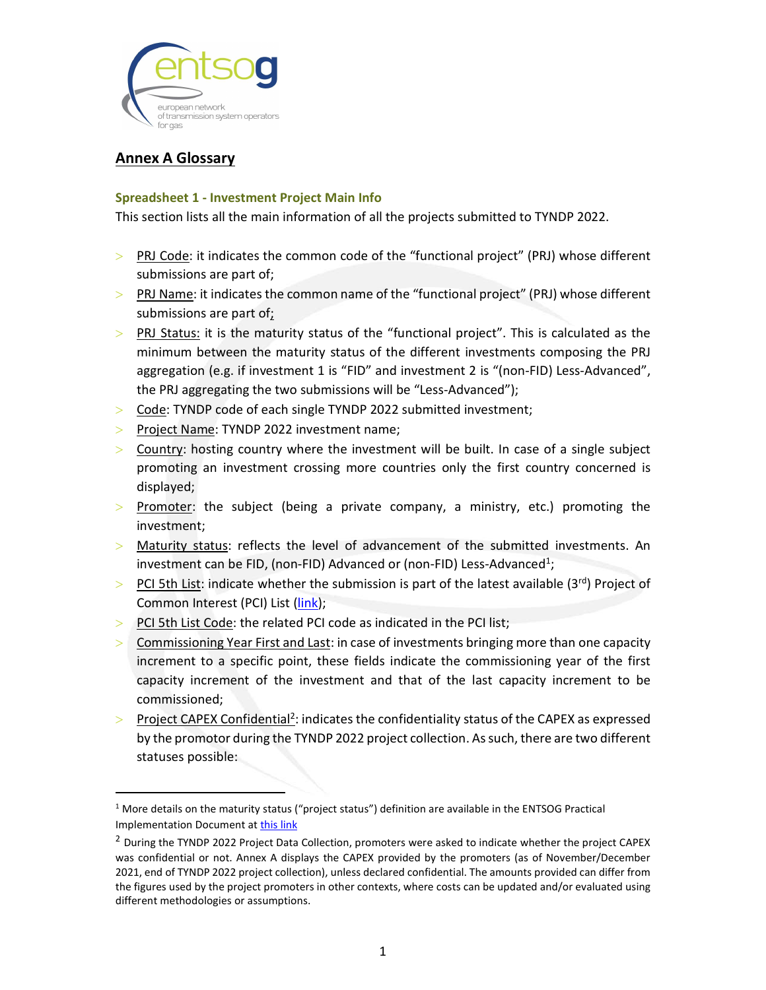

# Annex A Glossary

#### Spreadsheet 1 - Investment Project Main Info

This section lists all the main information of all the projects submitted to TYNDP 2022.

- PRJ Code: it indicates the common code of the "functional project" (PRJ) whose different submissions are part of;
- $>$  PRJ Name: it indicates the common name of the "functional project" (PRJ) whose different submissions are part of;
- $>$  PRJ Status: it is the maturity status of the "functional project". This is calculated as the minimum between the maturity status of the different investments composing the PRJ aggregation (e.g. if investment 1 is "FID" and investment 2 is "(non-FID) Less-Advanced", the PRJ aggregating the two submissions will be "Less-Advanced");
- > Code: TYNDP code of each single TYNDP 2022 submitted investment;
- > Project Name: TYNDP 2022 investment name;
- $>$  Country: hosting country where the investment will be built. In case of a single subject promoting an investment crossing more countries only the first country concerned is displayed;
- $>$  Promoter: the subject (being a private company, a ministry, etc.) promoting the investment;
- Maturity status: reflects the level of advancement of the submitted investments. An investment can be FID, (non-FID) Advanced or (non-FID) Less-Advanced<sup>1</sup>; ;
- $>$  PCI 5th List: indicate whether the submission is part of the latest available (3rd) Project of Common Interest (PCI) List (link);
- PCI 5th List Code: the related PCI code as indicated in the PCI list;
- Commissioning Year First and Last: in case of investments bringing more than one capacity increment to a specific point, these fields indicate the commissioning year of the first capacity increment of the investment and that of the last capacity increment to be commissioned;
- Project CAPEX Confidential<sup>2</sup>: indicates the confidentiality status of the CAPEX as expressed by the promotor during the TYNDP 2022 project collection. As such, there are two different statuses possible:<br>1<br><sup>1</sup> More details on the maturity status ("project status") definition are available in the ENTSOG Practical

Implementation Document at *this link*<br><sup>2</sup> During the TYNDP 2022 Project Data Collection, promoters were asked to indicate whether the project CAPEX was confidential or not. Annex A displays the CAPEX provided by the promoters (as of November/December 2021, end of TYNDP 2022 project collection), unless declared confidential. The amounts provided can differ from the figures used by the project promoters in other contexts, where costs can be updated and/or evaluated using different methodologies or assumptions.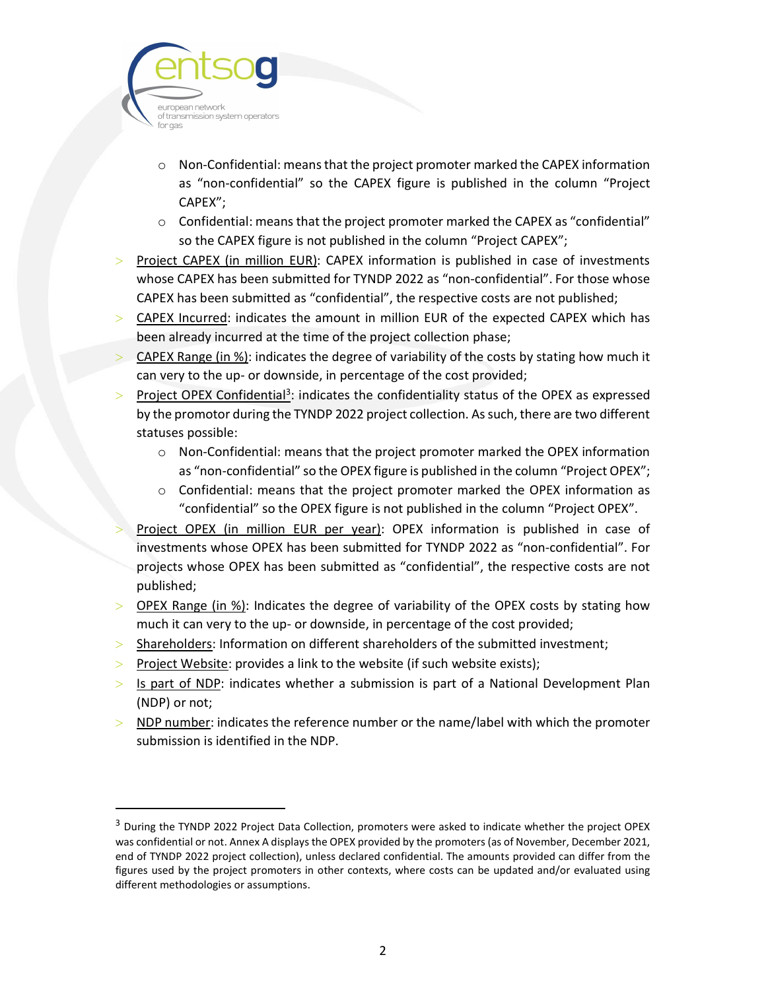

- $\circ$  Non-Confidential: means that the project promoter marked the CAPEX information as "non-confidential" so the CAPEX figure is published in the column "Project CAPEX";
- $\circ$  Confidential: means that the project promoter marked the CAPEX as "confidential" so the CAPEX figure is not published in the column "Project CAPEX";
- $>$  Project CAPEX (in million EUR): CAPEX information is published in case of investments whose CAPEX has been submitted for TYNDP 2022 as "non-confidential". For those whose CAPEX has been submitted as "confidential", the respective costs are not published;
- CAPEX Incurred: indicates the amount in million EUR of the expected CAPEX which has been already incurred at the time of the project collection phase;
- CAPEX Range (in %): indicates the degree of variability of the costs by stating how much it can very to the up- or downside, in percentage of the cost provided;
- Project OPEX Confidential<sup>3</sup>: indicates the confidentiality status of the OPEX as expressed by the promotor during the TYNDP 2022 project collection. As such, there are two different statuses possible:
	- o Non-Confidential: means that the project promoter marked the OPEX information as "non-confidential" so the OPEX figure is published in the column "Project OPEX";
	- $\circ$  Confidential: means that the project promoter marked the OPEX information as "confidential" so the OPEX figure is not published in the column "Project OPEX".
- Project OPEX (in million EUR per year): OPEX information is published in case of investments whose OPEX has been submitted for TYNDP 2022 as "non-confidential". For projects whose OPEX has been submitted as "confidential", the respective costs are not published;
- $>$  OPEX Range (in %): Indicates the degree of variability of the OPEX costs by stating how much it can very to the up- or downside, in percentage of the cost provided;
- > Shareholders: Information on different shareholders of the submitted investment;
- Project Website: provides a link to the website (if such website exists);
- $>$  Is part of NDP: indicates whether a submission is part of a National Development Plan (NDP) or not;
- $>$  NDP number: indicates the reference number or the name/label with which the promoter submission is identified in the NDP.

<sup>&</sup>lt;sup>3</sup> During the TYNDP 2022 Project Data Collection, promoters were asked to indicate whether the project OPEX was confidential or not. Annex A displays the OPEX provided by the promoters (as of November, December 2021, end of TYNDP 2022 project collection), unless declared confidential. The amounts provided can differ from the figures used by the project promoters in other contexts, where costs can be updated and/or evaluated using different methodologies or assumptions.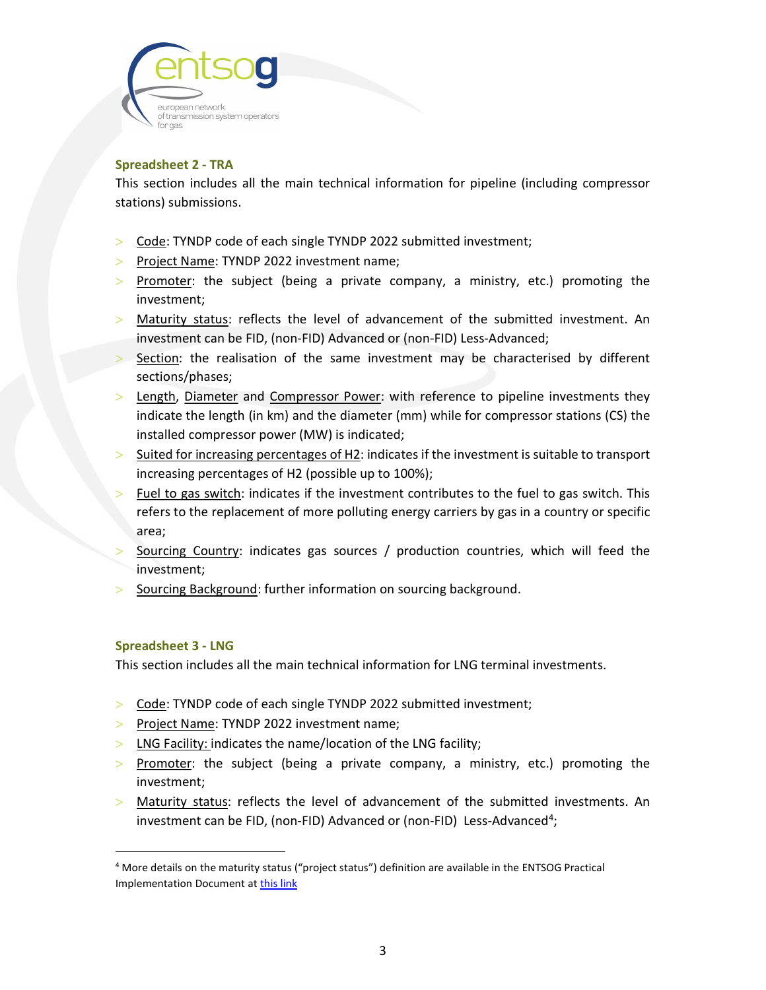

## Spreadsheet 2 - TRA

This section includes all the main technical information for pipeline (including compressor stations) submissions.

- Code: TYNDP code of each single TYNDP 2022 submitted investment;
- > Project Name: TYNDP 2022 investment name;
- $>$  Promoter: the subject (being a private company, a ministry, etc.) promoting the investment;
- Maturity status: reflects the level of advancement of the submitted investment. An investment can be FID, (non-FID) Advanced or (non-FID) Less-Advanced;
- Section: the realisation of the same investment may be characterised by different sections/phases;
- Length, Diameter and Compressor Power: with reference to pipeline investments they indicate the length (in km) and the diameter (mm) while for compressor stations (CS) the installed compressor power (MW) is indicated;
- Suited for increasing percentages of H2: indicates if the investment is suitable to transport increasing percentages of H2 (possible up to 100%);
- Fuel to gas switch: indicates if the investment contributes to the fuel to gas switch. This refers to the replacement of more polluting energy carriers by gas in a country or specific area;
- Sourcing Country: indicates gas sources / production countries, which will feed the investment;
- Sourcing Background: further information on sourcing background.

#### Spreadsheet 3 - LNG

This section includes all the main technical information for LNG terminal investments.

- Code: TYNDP code of each single TYNDP 2022 submitted investment;
- $\ge$  Project Name: TYNDP 2022 investment name;
- $>$  LNG Facility: indicates the name/location of the LNG facility;
- $>$  Promoter: the subject (being a private company, a ministry, etc.) promoting the investment;
- Maturity status: reflects the level of advancement of the submitted investments. An investment can be FID, (non-FID) Advanced or (non-FID) Less-Advanced<sup>4</sup>;

<sup>4</sup> More details on the maturity status ("project status") definition are available in the ENTSOG Practical Implementation Document at this link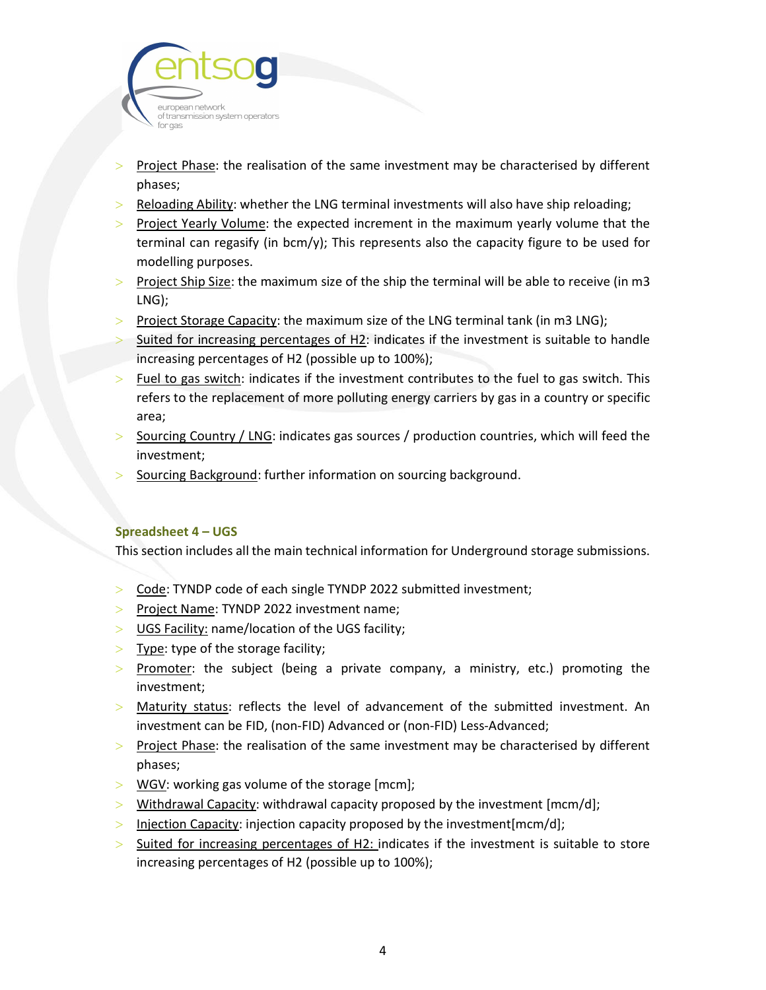

- Project Phase: the realisation of the same investment may be characterised by different phases;
- $>$  Reloading Ability: whether the LNG terminal investments will also have ship reloading;
- $>$  Project Yearly Volume: the expected increment in the maximum yearly volume that the terminal can regasify (in bcm/y); This represents also the capacity figure to be used for modelling purposes.
- $>$  Project Ship Size: the maximum size of the ship the terminal will be able to receive (in m3 LNG);
- $>$  Project Storage Capacity: the maximum size of the LNG terminal tank (in m3 LNG);
- $>$  Suited for increasing percentages of H2: indicates if the investment is suitable to handle increasing percentages of H2 (possible up to 100%);
- $>$  Fuel to gas switch: indicates if the investment contributes to the fuel to gas switch. This refers to the replacement of more polluting energy carriers by gas in a country or specific area;
- Sourcing Country / LNG: indicates gas sources / production countries, which will feed the investment;
- Sourcing Background: further information on sourcing background.

### Spreadsheet 4 – UGS

This section includes all the main technical information for Underground storage submissions.

- > Code: TYNDP code of each single TYNDP 2022 submitted investment;
- $>$  Project Name: TYNDP 2022 investment name;
- > UGS Facility: name/location of the UGS facility;
- $>$  Type: type of the storage facility;
- > Promoter: the subject (being a private company, a ministry, etc.) promoting the investment;
- Maturity status: reflects the level of advancement of the submitted investment. An investment can be FID, (non-FID) Advanced or (non-FID) Less-Advanced;
- $>$  Project Phase: the realisation of the same investment may be characterised by different phases;
- WGV: working gas volume of the storage [mcm];
- $>$  Withdrawal Capacity: withdrawal capacity proposed by the investment [mcm/d];
- $>$  Injection Capacity: injection capacity proposed by the investment [mcm/d];
- $>$  Suited for increasing percentages of H2: indicates if the investment is suitable to store increasing percentages of H2 (possible up to 100%);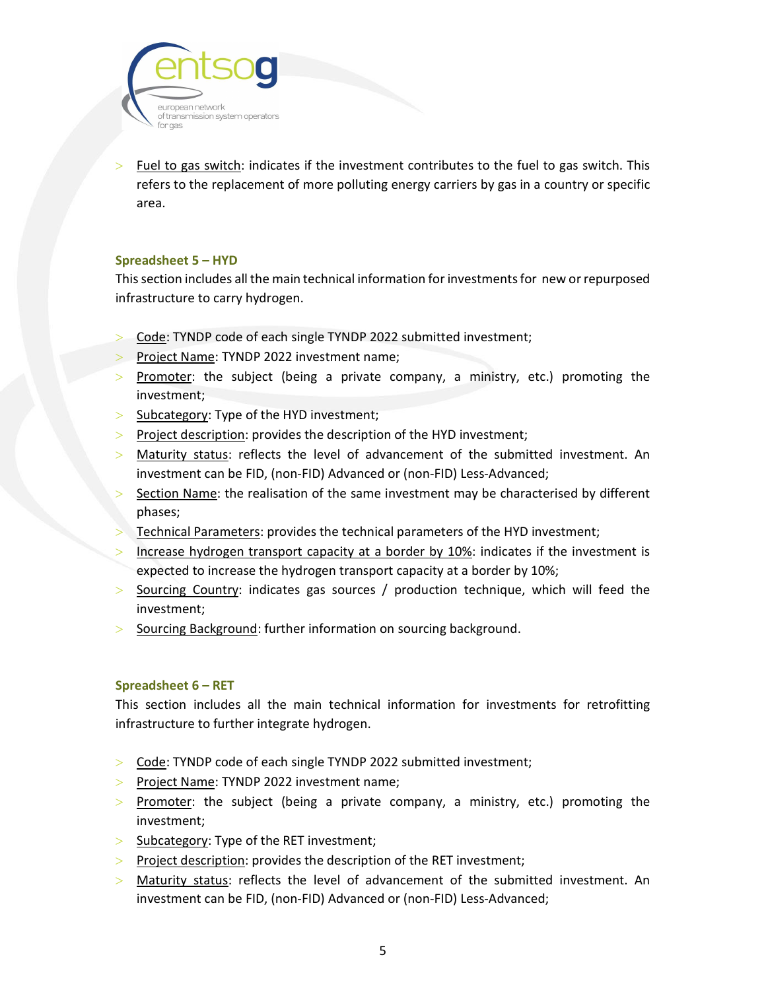

 Fuel to gas switch: indicates if the investment contributes to the fuel to gas switch. This refers to the replacement of more polluting energy carriers by gas in a country or specific area.

#### Spreadsheet 5 – HYD

This section includes all the main technical information for investments for new or repurposed infrastructure to carry hydrogen.

- > Code: TYNDP code of each single TYNDP 2022 submitted investment;
- Project Name: TYNDP 2022 investment name;
- $>$  Promoter: the subject (being a private company, a ministry, etc.) promoting the investment;
- $>$  Subcategory: Type of the HYD investment;
- $>$  Project description: provides the description of the HYD investment;
- $>$  Maturity status: reflects the level of advancement of the submitted investment. An investment can be FID, (non-FID) Advanced or (non-FID) Less-Advanced;
- Section Name: the realisation of the same investment may be characterised by different phases;
- Technical Parameters: provides the technical parameters of the HYD investment;
- Increase hydrogen transport capacity at a border by 10%: indicates if the investment is expected to increase the hydrogen transport capacity at a border by 10%;
- $>$  Sourcing Country: indicates gas sources / production technique, which will feed the investment;
- > Sourcing Background: further information on sourcing background.

#### Spreadsheet 6 – RET

This section includes all the main technical information for investments for retrofitting infrastructure to further integrate hydrogen.

- > Code: TYNDP code of each single TYNDP 2022 submitted investment;
- > Project Name: TYNDP 2022 investment name;
- $>$  Promoter: the subject (being a private company, a ministry, etc.) promoting the investment;
- $>$  Subcategory: Type of the RET investment;
- $\ge$  Project description: provides the description of the RET investment;
- Maturity status: reflects the level of advancement of the submitted investment. An investment can be FID, (non-FID) Advanced or (non-FID) Less-Advanced;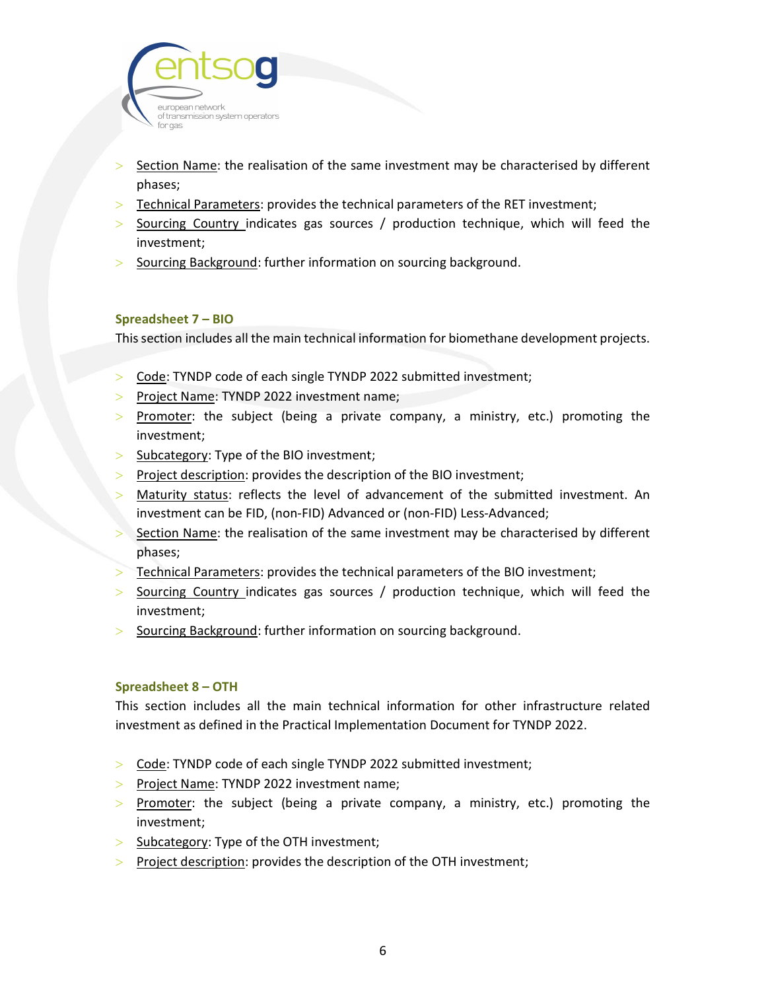

- Section Name: the realisation of the same investment may be characterised by different phases;
- $>$  Technical Parameters: provides the technical parameters of the RET investment;
- $>$  Sourcing Country indicates gas sources / production technique, which will feed the investment;
- $>$  Sourcing Background: further information on sourcing background.

#### Spreadsheet 7 – BIO

This section includes all the main technical information for biomethane development projects.

- > Code: TYNDP code of each single TYNDP 2022 submitted investment;
- Project Name: TYNDP 2022 investment name;
- $>$  Promoter: the subject (being a private company, a ministry, etc.) promoting the investment;
- $>$  Subcategory: Type of the BIO investment;
- Project description: provides the description of the BIO investment;
- Maturity status: reflects the level of advancement of the submitted investment. An investment can be FID, (non-FID) Advanced or (non-FID) Less-Advanced;
- Section Name: the realisation of the same investment may be characterised by different phases;
- Technical Parameters: provides the technical parameters of the BIO investment;
- $>$  Sourcing Country indicates gas sources / production technique, which will feed the investment;
- Sourcing Background: further information on sourcing background.

#### Spreadsheet 8 – OTH

This section includes all the main technical information for other infrastructure related investment as defined in the Practical Implementation Document for TYNDP 2022.

- Code: TYNDP code of each single TYNDP 2022 submitted investment;
- Project Name: TYNDP 2022 investment name;
- $>$  Promoter: the subject (being a private company, a ministry, etc.) promoting the investment;
- $>$  Subcategory: Type of the OTH investment;
- $\ge$  Project description: provides the description of the OTH investment;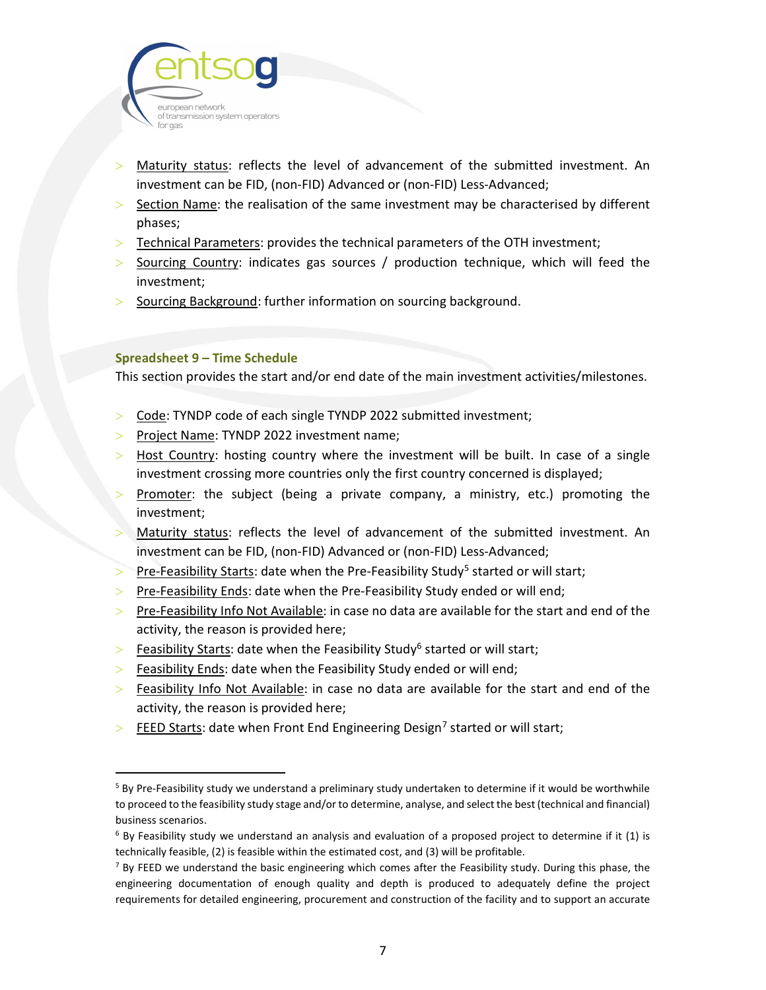

- Maturity status: reflects the level of advancement of the submitted investment. An investment can be FID, (non-FID) Advanced or (non-FID) Less-Advanced;
- Section Name: the realisation of the same investment may be characterised by different phases;
- $>$  Technical Parameters: provides the technical parameters of the OTH investment;
- $>$  Sourcing Country: indicates gas sources / production technique, which will feed the investment;
- > Sourcing Background: further information on sourcing background.

#### Spreadsheet 9 – Time Schedule

This section provides the start and/or end date of the main investment activities/milestones.

- Code: TYNDP code of each single TYNDP 2022 submitted investment;
- $\ge$  Project Name: TYNDP 2022 investment name;
- $>$  Host Country: hosting country where the investment will be built. In case of a single investment crossing more countries only the first country concerned is displayed;
- Promoter: the subject (being a private company, a ministry, etc.) promoting the investment;
- Maturity status: reflects the level of advancement of the submitted investment. An investment can be FID, (non-FID) Advanced or (non-FID) Less-Advanced;
- $\ge$  Pre-Feasibility Starts: date when the Pre-Feasibility Study<sup>5</sup> started or will start;
- $\ge$  Pre-Feasibility Ends: date when the Pre-Feasibility Study ended or will end;
- $\ge$  Pre-Feasibility Info Not Available: in case no data are available for the start and end of the activity, the reason is provided here;
- $>$  Feasibility Starts: date when the Feasibility Study<sup>6</sup> started or will start;
- $>$  Feasibility Ends: date when the Feasibility Study ended or will end;
- $>$  Feasibility Info Not Available: in case no data are available for the start and end of the activity, the reason is provided here;
- $\geq$  FEED Starts: date when Front End Engineering Design<sup>7</sup> started or will start;

<sup>&</sup>lt;sup>5</sup> By Pre-Feasibility study we understand a preliminary study undertaken to determine if it would be worthwhile to proceed to the feasibility study stage and/or to determine, analyse, and select the best (technical and financial) business scenarios.

<sup>&</sup>lt;sup>6</sup> By Feasibility study we understand an analysis and evaluation of a proposed project to determine if it (1) is technically feasible, (2) is feasible within the estimated cost, and (3) will be profitable.

<sup>&</sup>lt;sup>7</sup> By FEED we understand the basic engineering which comes after the Feasibility study. During this phase, the engineering documentation of enough quality and depth is produced to adequately define the project requirements for detailed engineering, procurement and construction of the facility and to support an accurate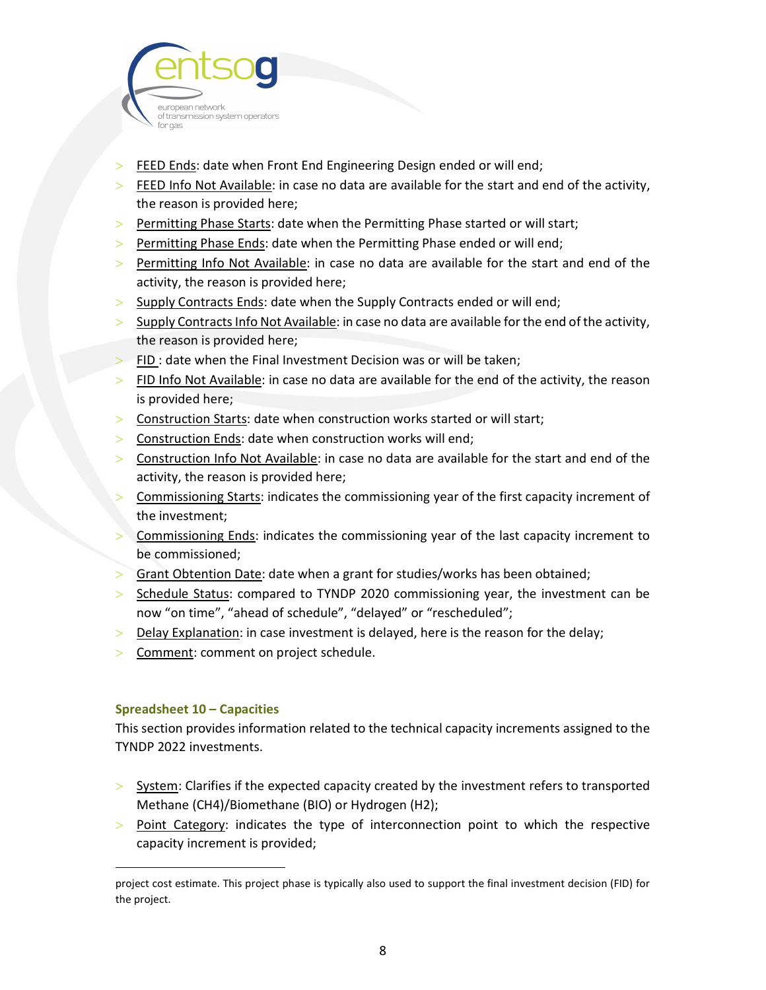

- **FEED Ends: date when Front End Engineering Design ended or will end;**
- $>$  FEED Info Not Available: in case no data are available for the start and end of the activity, the reason is provided here;
- $>$  Permitting Phase Starts: date when the Permitting Phase started or will start;
- $>$  Permitting Phase Ends: date when the Permitting Phase ended or will end;
- $>$  Permitting Info Not Available: in case no data are available for the start and end of the activity, the reason is provided here;
- Supply Contracts Ends: date when the Supply Contracts ended or will end;
- $>$  Supply Contracts Info Not Available: in case no data are available for the end of the activity, the reason is provided here;
- $>$  FID : date when the Final Investment Decision was or will be taken;
- $>$  FID Info Not Available: in case no data are available for the end of the activity, the reason is provided here;
- > Construction Starts: date when construction works started or will start;
- $>$  Construction Ends: date when construction works will end;
- $>$  Construction Info Not Available: in case no data are available for the start and end of the activity, the reason is provided here;
- Commissioning Starts: indicates the commissioning year of the first capacity increment of the investment;
- Commissioning Ends: indicates the commissioning year of the last capacity increment to be commissioned;
- Grant Obtention Date: date when a grant for studies/works has been obtained;
- $>$  Schedule Status: compared to TYNDP 2020 commissioning year, the investment can be now "on time", "ahead of schedule", "delayed" or "rescheduled";
- Delay Explanation: in case investment is delayed, here is the reason for the delay;
- Comment: comment on project schedule.

### Spreadsheet 10 – Capacities

This section provides information related to the technical capacity increments assigned to the TYNDP 2022 investments.

- $>$  System: Clarifies if the expected capacity created by the investment refers to transported Methane (CH4)/Biomethane (BIO) or Hydrogen (H2);
- $>$  Point Category: indicates the type of interconnection point to which the respective capacity increment is provided;

project cost estimate. This project phase is typically also used to support the final investment decision (FID) for the project.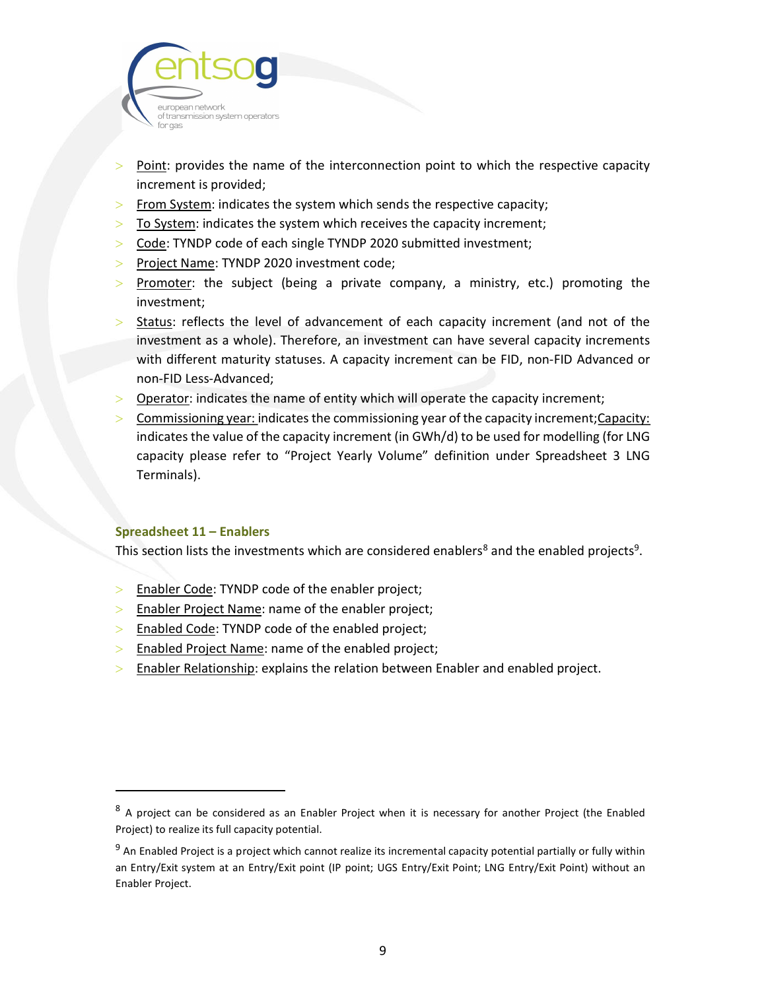

- Point: provides the name of the interconnection point to which the respective capacity increment is provided;
- $>$  From System: indicates the system which sends the respective capacity;
- $>$  To System: indicates the system which receives the capacity increment;
- Code: TYNDP code of each single TYNDP 2020 submitted investment;
- $\ge$  Project Name: TYNDP 2020 investment code;
- $>$  Promoter: the subject (being a private company, a ministry, etc.) promoting the investment;
- $>$  Status: reflects the level of advancement of each capacity increment (and not of the investment as a whole). Therefore, an investment can have several capacity increments with different maturity statuses. A capacity increment can be FID, non-FID Advanced or non-FID Less-Advanced;
- $>$  Operator: indicates the name of entity which will operate the capacity increment;
- $>$  Commissioning year: indicates the commissioning year of the capacity increment; Capacity: indicates the value of the capacity increment (in GWh/d) to be used for modelling (for LNG capacity please refer to "Project Yearly Volume" definition under Spreadsheet 3 LNG Terminals).

### Spreadsheet 11 – Enablers

This section lists the investments which are considered enablers<sup>8</sup> and the enabled projects<sup>9</sup>.

- **Enabler Code: TYNDP code of the enabler project;**
- $>$  Enabler Project Name: name of the enabler project;
- $>$  Enabled Code: TYNDP code of the enabled project;
- $>$  Enabled Project Name: name of the enabled project;
- $>$  Enabler Relationship: explains the relation between Enabler and enabled project.

<sup>&</sup>lt;sup>8</sup> A project can be considered as an Enabler Project when it is necessary for another Project (the Enabled Project) to realize its full capacity potential.

<sup>&</sup>lt;sup>9</sup> An Enabled Project is a project which cannot realize its incremental capacity potential partially or fully within an Entry/Exit system at an Entry/Exit point (IP point; UGS Entry/Exit Point; LNG Entry/Exit Point) without an Enabler Project.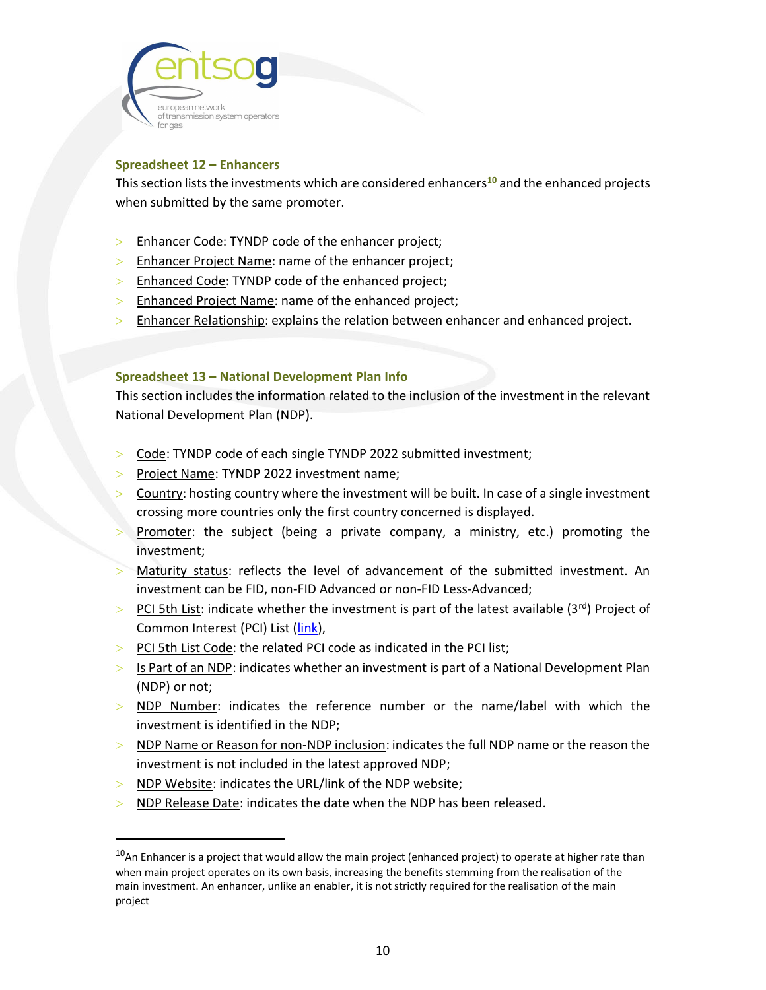

### Spreadsheet 12 – Enhancers

This section lists the investments which are considered enhancers<sup>10</sup> and the enhanced projects when submitted by the same promoter.

- > Enhancer Code: TYNDP code of the enhancer project;
- $>$  Enhancer Project Name: name of the enhancer project;
- > Enhanced Code: TYNDP code of the enhanced project;
- **Enhanced Project Name: name of the enhanced project;**
- $>$  Enhancer Relationship: explains the relation between enhancer and enhanced project.

#### Spreadsheet 13 – National Development Plan Info

This section includes the information related to the inclusion of the investment in the relevant National Development Plan (NDP).

- > Code: TYNDP code of each single TYNDP 2022 submitted investment;
- Project Name: TYNDP 2022 investment name;
- Country: hosting country where the investment will be built. In case of a single investment crossing more countries only the first country concerned is displayed.
- Promoter: the subject (being a private company, a ministry, etc.) promoting the investment;
- Maturity status: reflects the level of advancement of the submitted investment. An investment can be FID, non-FID Advanced or non-FID Less-Advanced;
- $>$  PCI 5th List: indicate whether the investment is part of the latest available (3rd) Project of Common Interest (PCI) List (link),
- $>$  PCI 5th List Code: the related PCI code as indicated in the PCI list;
- $>$  Is Part of an NDP: indicates whether an investment is part of a National Development Plan (NDP) or not;
- NDP Number: indicates the reference number or the name/label with which the investment is identified in the NDP;
- $>$  NDP Name or Reason for non-NDP inclusion: indicates the full NDP name or the reason the investment is not included in the latest approved NDP;
- > NDP Website: indicates the URL/link of the NDP website;
- $>$  NDP Release Date: indicates the date when the NDP has been released.

<sup>&</sup>lt;sup>10</sup>An Enhancer is a project that would allow the main project (enhanced project) to operate at higher rate than when main project operates on its own basis, increasing the benefits stemming from the realisation of the main investment. An enhancer, unlike an enabler, it is not strictly required for the realisation of the main project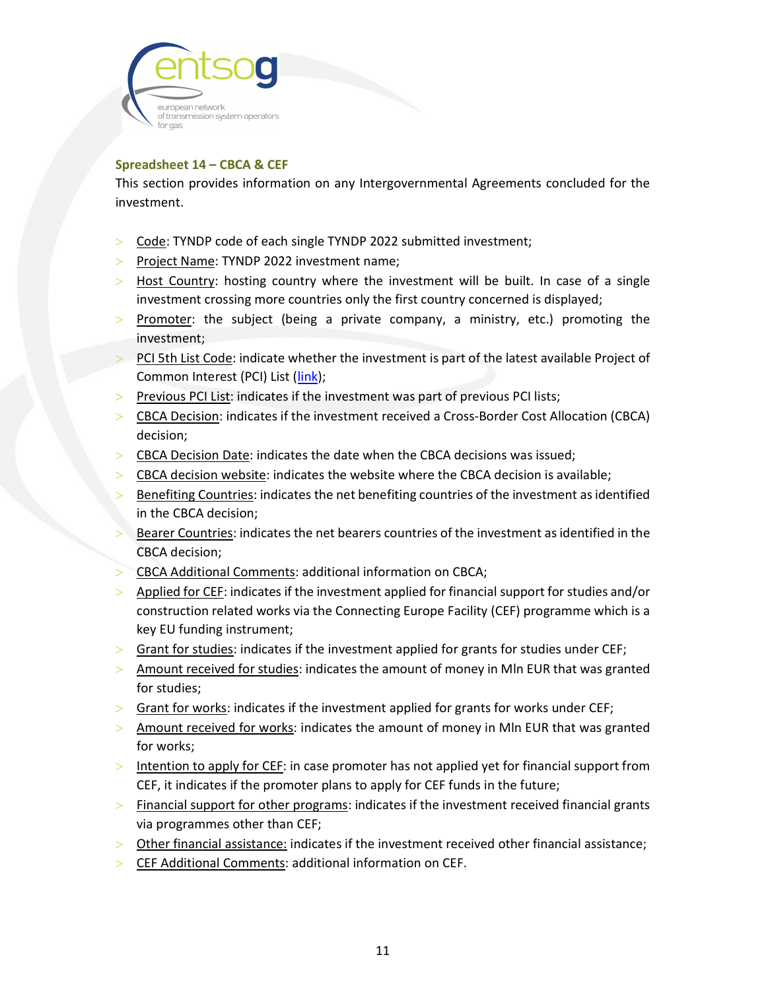

### Spreadsheet 14 – CBCA & CEF

This section provides information on any Intergovernmental Agreements concluded for the investment.

- Code: TYNDP code of each single TYNDP 2022 submitted investment;
- > Project Name: TYNDP 2022 investment name;
- $>$  Host Country: hosting country where the investment will be built. In case of a single investment crossing more countries only the first country concerned is displayed;
- $>$  Promoter: the subject (being a private company, a ministry, etc.) promoting the investment;
- $>$  PCI 5th List Code: indicate whether the investment is part of the latest available Project of Common Interest (PCI) List (link);
- Previous PCI List: indicates if the investment was part of previous PCI lists;
- CBCA Decision: indicates if the investment received a Cross-Border Cost Allocation (CBCA) decision;
- $>$  CBCA Decision Date: indicates the date when the CBCA decisions was issued;
- CBCA decision website: indicates the website where the CBCA decision is available;
- Benefiting Countries: indicates the net benefiting countries of the investment as identified in the CBCA decision;
- Bearer Countries: indicates the net bearers countries of the investment as identified in the CBCA decision;
- CBCA Additional Comments: additional information on CBCA;
- Applied for CEF: indicates if the investment applied for financial support for studies and/or construction related works via the Connecting Europe Facility (CEF) programme which is a key EU funding instrument;
- $>$  Grant for studies: indicates if the investment applied for grants for studies under CEF;
- $>$  Amount received for studies: indicates the amount of money in MIn EUR that was granted for studies;
- $>$  Grant for works: indicates if the investment applied for grants for works under CEF;
- > Amount received for works: indicates the amount of money in MIn EUR that was granted for works;
- $>$  Intention to apply for CEF: in case promoter has not applied yet for financial support from CEF, it indicates if the promoter plans to apply for CEF funds in the future;
- $>$  Financial support for other programs: indicates if the investment received financial grants via programmes other than CEF;
- $>$  Other financial assistance: indicates if the investment received other financial assistance;
- > CEF Additional Comments: additional information on CEF.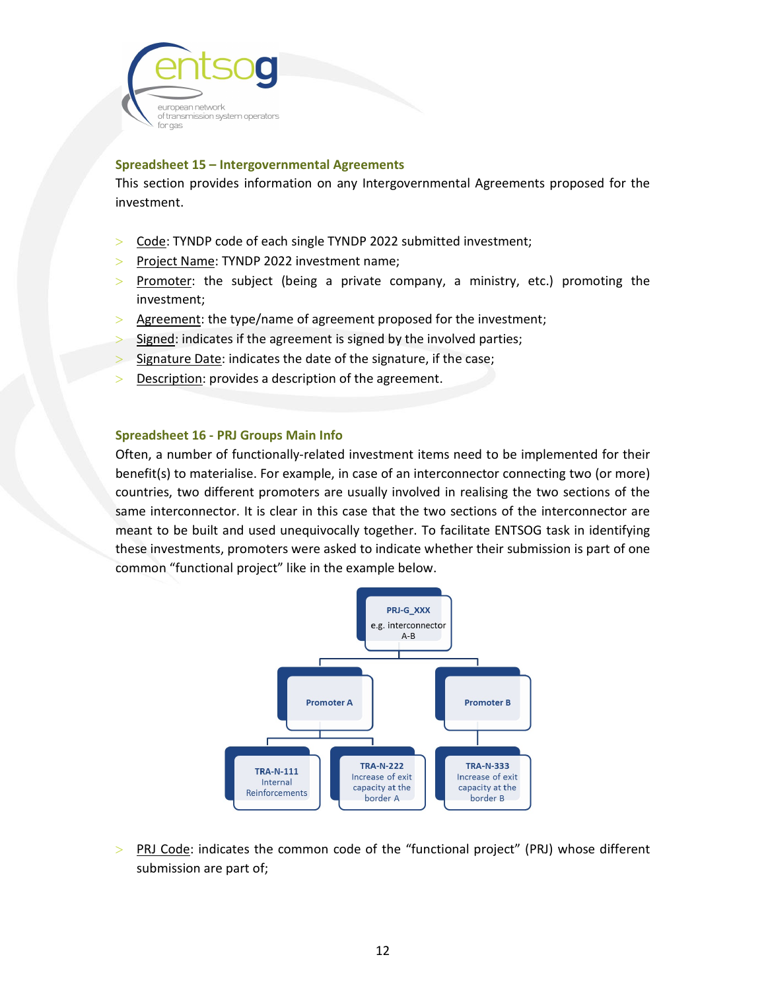

#### Spreadsheet 15 – Intergovernmental Agreements

This section provides information on any Intergovernmental Agreements proposed for the investment.

- Code: TYNDP code of each single TYNDP 2022 submitted investment;
- > Project Name: TYNDP 2022 investment name;
- $>$  Promoter: the subject (being a private company, a ministry, etc.) promoting the investment;
- Agreement: the type/name of agreement proposed for the investment;
- $>$  Signed: indicates if the agreement is signed by the involved parties;
- Signature Date: indicates the date of the signature, if the case;
- **Description: provides a description of the agreement.**

#### Spreadsheet 16 - PRJ Groups Main Info

Often, a number of functionally-related investment items need to be implemented for their benefit(s) to materialise. For example, in case of an interconnector connecting two (or more) countries, two different promoters are usually involved in realising the two sections of the same interconnector. It is clear in this case that the two sections of the interconnector are meant to be built and used unequivocally together. To facilitate ENTSOG task in identifying these investments, promoters were asked to indicate whether their submission is part of one common "functional project" like in the example below.



 $>$  PRJ Code: indicates the common code of the "functional project" (PRJ) whose different submission are part of;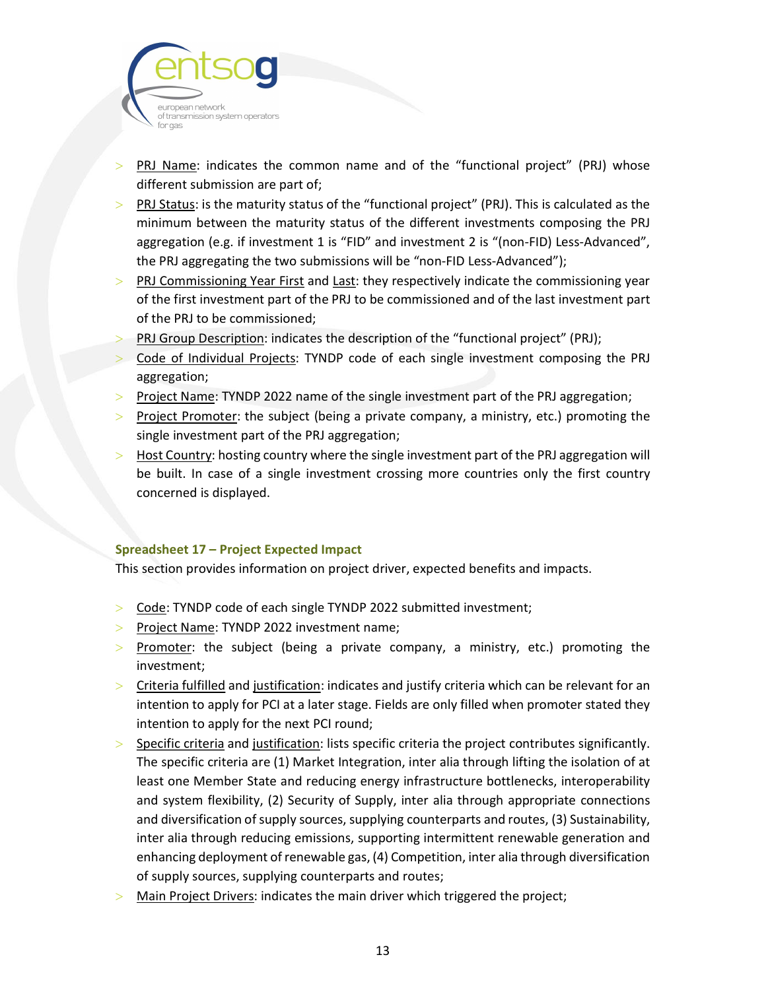

- PRJ Name: indicates the common name and of the "functional project" (PRJ) whose different submission are part of;
- PRJ Status: is the maturity status of the "functional project" (PRJ). This is calculated as the minimum between the maturity status of the different investments composing the PRJ aggregation (e.g. if investment 1 is "FID" and investment 2 is "(non-FID) Less-Advanced", the PRJ aggregating the two submissions will be "non-FID Less-Advanced");
- PRJ Commissioning Year First and Last: they respectively indicate the commissioning year of the first investment part of the PRJ to be commissioned and of the last investment part of the PRJ to be commissioned;
- PRJ Group Description: indicates the description of the "functional project" (PRJ);
- Code of Individual Projects: TYNDP code of each single investment composing the PRJ aggregation;
- > Project Name: TYNDP 2022 name of the single investment part of the PRJ aggregation;
- $>$  Project Promoter: the subject (being a private company, a ministry, etc.) promoting the single investment part of the PRJ aggregation;
- $>$  Host Country: hosting country where the single investment part of the PRJ aggregation will be built. In case of a single investment crossing more countries only the first country concerned is displayed.

### Spreadsheet 17 – Project Expected Impact

This section provides information on project driver, expected benefits and impacts.

- > Code: TYNDP code of each single TYNDP 2022 submitted investment;
- $\ge$  Project Name: TYNDP 2022 investment name;
- $>$  Promoter: the subject (being a private company, a ministry, etc.) promoting the investment;
- $>$  Criteria fulfilled and justification: indicates and justify criteria which can be relevant for an intention to apply for PCI at a later stage. Fields are only filled when promoter stated they intention to apply for the next PCI round;
- Specific criteria and justification: lists specific criteria the project contributes significantly. The specific criteria are (1) Market Integration, inter alia through lifting the isolation of at least one Member State and reducing energy infrastructure bottlenecks, interoperability and system flexibility, (2) Security of Supply, inter alia through appropriate connections and diversification of supply sources, supplying counterparts and routes, (3) Sustainability, inter alia through reducing emissions, supporting intermittent renewable generation and enhancing deployment of renewable gas, (4) Competition, inter alia through diversification of supply sources, supplying counterparts and routes;
- Main Project Drivers: indicates the main driver which triggered the project;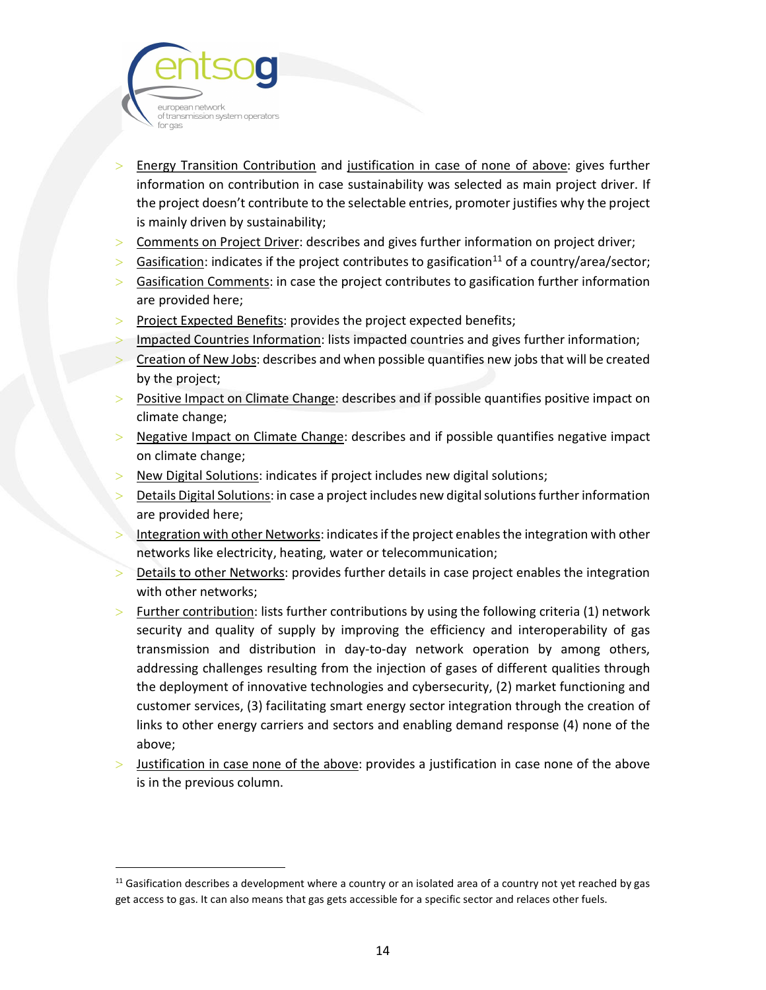

- Energy Transition Contribution and justification in case of none of above: gives further information on contribution in case sustainability was selected as main project driver. If the project doesn't contribute to the selectable entries, promoter justifies why the project is mainly driven by sustainability;
- Comments on Project Driver: describes and gives further information on project driver;
- Sasification: indicates if the project contributes to gasification<sup>11</sup> of a country/area/sector;
- Sasification Comments: in case the project contributes to gasification further information are provided here;
- $>$  Project Expected Benefits: provides the project expected benefits;
- Impacted Countries Information: lists impacted countries and gives further information;
- Creation of New Jobs: describes and when possible quantifies new jobs that will be created by the project;
- **Positive Impact on Climate Change: describes and if possible quantifies positive impact on** climate change;
- $>$  Negative Impact on Climate Change: describes and if possible quantifies negative impact on climate change;
- New Digital Solutions: indicates if project includes new digital solutions;
- Details Digital Solutions: in case a project includes new digital solutions further information are provided here;
- Integration with other Networks: indicates if the project enables the integration with other networks like electricity, heating, water or telecommunication;
- Details to other Networks: provides further details in case project enables the integration with other networks;
- $>$  Further contribution: lists further contributions by using the following criteria (1) network security and quality of supply by improving the efficiency and interoperability of gas transmission and distribution in day-to-day network operation by among others, addressing challenges resulting from the injection of gases of different qualities through the deployment of innovative technologies and cybersecurity, (2) market functioning and customer services, (3) facilitating smart energy sector integration through the creation of links to other energy carriers and sectors and enabling demand response (4) none of the above;
- Justification in case none of the above: provides a justification in case none of the above is in the previous column.

 $11$  Gasification describes a development where a country or an isolated area of a country not yet reached by gas get access to gas. It can also means that gas gets accessible for a specific sector and relaces other fuels.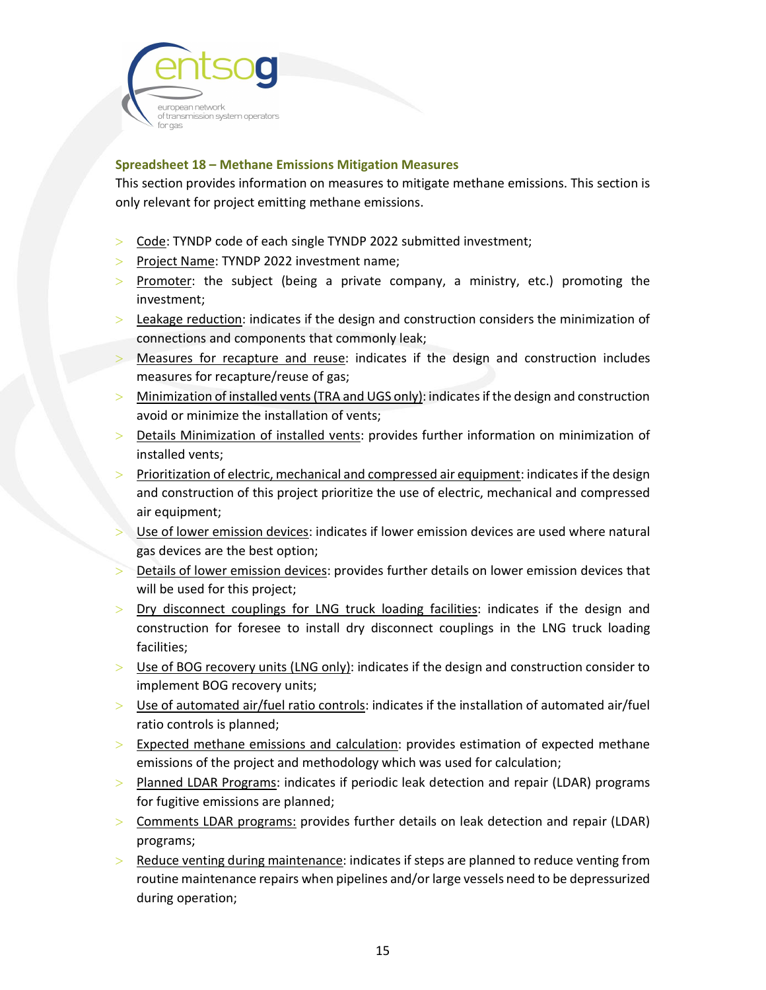

### Spreadsheet 18 – Methane Emissions Mitigation Measures

This section provides information on measures to mitigate methane emissions. This section is only relevant for project emitting methane emissions.

- Code: TYNDP code of each single TYNDP 2022 submitted investment;
- > Project Name: TYNDP 2022 investment name;
- $>$  Promoter: the subject (being a private company, a ministry, etc.) promoting the investment;
- $>$  Leakage reduction: indicates if the design and construction considers the minimization of connections and components that commonly leak;
- Measures for recapture and reuse: indicates if the design and construction includes measures for recapture/reuse of gas;
- Minimization of installed vents (TRA and UGS only): indicates if the design and construction avoid or minimize the installation of vents;
- $>$  Details Minimization of installed vents: provides further information on minimization of installed vents;
- Prioritization of electric, mechanical and compressed air equipment: indicates if the design and construction of this project prioritize the use of electric, mechanical and compressed air equipment;
- Use of lower emission devices: indicates if lower emission devices are used where natural gas devices are the best option;
- Details of lower emission devices: provides further details on lower emission devices that will be used for this project;
- > Dry disconnect couplings for LNG truck loading facilities: indicates if the design and construction for foresee to install dry disconnect couplings in the LNG truck loading facilities;
- $>$  Use of BOG recovery units (LNG only): indicates if the design and construction consider to implement BOG recovery units;
- $>$  Use of automated air/fuel ratio controls: indicates if the installation of automated air/fuel ratio controls is planned;
- $>$  Expected methane emissions and calculation: provides estimation of expected methane emissions of the project and methodology which was used for calculation;
- > Planned LDAR Programs: indicates if periodic leak detection and repair (LDAR) programs for fugitive emissions are planned;
- Comments LDAR programs: provides further details on leak detection and repair (LDAR) programs;
- Reduce venting during maintenance: indicates if steps are planned to reduce venting from routine maintenance repairs when pipelines and/or large vessels need to be depressurized during operation;